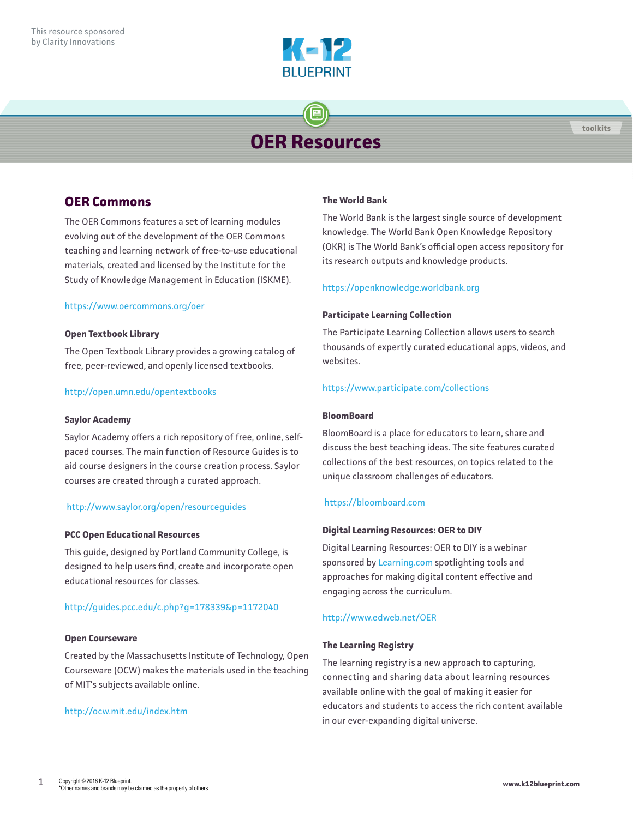

# **OER Resources**

# **OER Commons**

The OER Commons features a set of learning modules evolving out of the development of the OER Commons teaching and learning network of free-to-use educational materials, created and licensed by the Institute for the Study of Knowledge Management in Education (ISKME).

# <https://www.oercommons.org/oer>

## **Open Textbook Library**

The Open Textbook Library provides a growing catalog of free, peer-reviewed, and openly licensed textbooks.

## <http://open.umn.edu/opentextbooks>

#### **Saylor Academy**

Saylor Academy offers a rich repository of free, online, selfpaced courses. The main function of Resource Guides is to aid course designers in the course creation process. Saylor courses are created through a curated approach.

#### <http://www.saylor.org/open/resourceguides>

#### **PCC Open Educational Resources**

This guide, designed by Portland Community College, is designed to help users find, create and incorporate open educational resources for classes.

# <http://guides.pcc.edu/c.php?g=178339&p=1172040>

#### **Open Courseware**

Created by the Massachusetts Institute of Technology, Open Courseware (OCW) makes the materials used in the teaching of MIT's subjects available online.

# <http://ocw.mit.edu/index.htm>

#### **The World Bank**

The World Bank is the largest single source of development knowledge. The World Bank Open Knowledge Repository (OKR) is The World Bank's official open access repository for its research outputs and knowledge products.

## <https://openknowledge.worldbank.org>

#### **Participate Learning Collection**

The Participate Learning Collection allows users to search thousands of expertly curated educational apps, videos, and websites.

# <https://www.participate.com/collections>

# **BloomBoard**

BloomBoard is a place for educators to learn, share and discuss the best teaching ideas. The site features curated collections of the best resources, on topics related to the unique classroom challenges of educators.

# <https://bloomboard.com>

# **Digital Learning Resources: OER to DIY**

Digital Learning Resources: OER to DIY is a webinar sponsored by [Learning.com](http://Learning.com) spotlighting tools and approaches for making digital content effective and engaging across the curriculum.

#### <http://www.edweb.net/OER>

#### **The Learning Registry**

The learning registry is a new approach to capturing, connecting and sharing data about learning resources available online with the goal of making it easier for educators and students to access the rich content available in our ever-expanding digital universe.